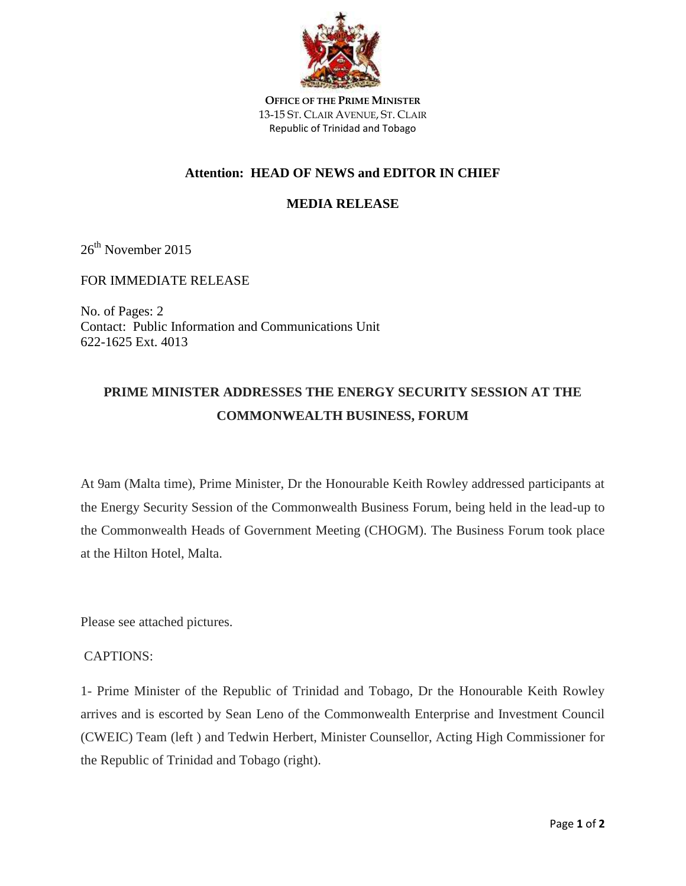

**OFFICE OF THE PRIME MINISTER** 13-15 ST. CLAIR AVENUE, ST. CLAIR Republic of Trinidad and Tobago

## **Attention: HEAD OF NEWS and EDITOR IN CHIEF**

## **MEDIA RELEASE**

26<sup>th</sup> November 2015

FOR IMMEDIATE RELEASE

No. of Pages: 2 Contact: Public Information and Communications Unit 622-1625 Ext. 4013

## **PRIME MINISTER ADDRESSES THE ENERGY SECURITY SESSION AT THE COMMONWEALTH BUSINESS, FORUM**

At 9am (Malta time), Prime Minister, Dr the Honourable Keith Rowley addressed participants at the Energy Security Session of the Commonwealth Business Forum, being held in the lead-up to the Commonwealth Heads of Government Meeting (CHOGM). The Business Forum took place at the Hilton Hotel, Malta.

Please see attached pictures.

## CAPTIONS:

1- Prime Minister of the Republic of Trinidad and Tobago, Dr the Honourable Keith Rowley arrives and is escorted by Sean Leno of the Commonwealth Enterprise and Investment Council (CWEIC) Team (left ) and Tedwin Herbert, Minister Counsellor, Acting High Commissioner for the Republic of Trinidad and Tobago (right).